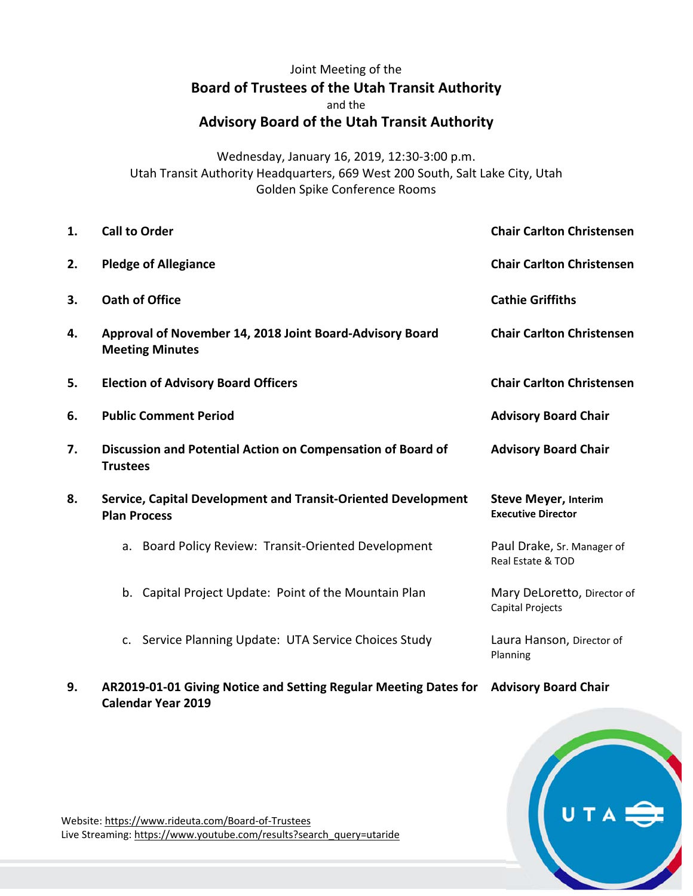## Joint Meeting of the **Board of Trustees of the Utah Transit Authority**  and the **Advisory Board of the Utah Transit Authority**

Wednesday, January 16, 2019, 12:30‐3:00 p.m. Utah Transit Authority Headquarters, 669 West 200 South, Salt Lake City, Utah Golden Spike Conference Rooms

| 1. | <b>Call to Order</b>                                                                 | <b>Chair Carlton Christensen</b>                         |
|----|--------------------------------------------------------------------------------------|----------------------------------------------------------|
| 2. | <b>Pledge of Allegiance</b>                                                          | <b>Chair Carlton Christensen</b>                         |
| 3. | <b>Oath of Office</b>                                                                | <b>Cathie Griffiths</b>                                  |
| 4. | Approval of November 14, 2018 Joint Board-Advisory Board<br><b>Meeting Minutes</b>   | <b>Chair Carlton Christensen</b>                         |
| 5. | <b>Election of Advisory Board Officers</b>                                           | <b>Chair Carlton Christensen</b>                         |
| 6. | <b>Public Comment Period</b>                                                         | <b>Advisory Board Chair</b>                              |
| 7. | Discussion and Potential Action on Compensation of Board of<br><b>Trustees</b>       | <b>Advisory Board Chair</b>                              |
| 8. | Service, Capital Development and Transit-Oriented Development<br><b>Plan Process</b> | <b>Steve Meyer, Interim</b><br><b>Executive Director</b> |
|    | a. Board Policy Review: Transit-Oriented Development                                 | Paul Drake, Sr. Manager of<br>Real Estate & TOD          |
|    | b. Capital Project Update: Point of the Mountain Plan                                | Mary DeLoretto, Director of<br>Capital Projects          |
|    | c. Service Planning Update: UTA Service Choices Study                                | Laura Hanson, Director of<br>Planning                    |

**9. AR2019‐01‐01 Giving Notice and Setting Regular Meeting Dates for Advisory Board Chair Calendar Year 2019**



Website: https://www.rideuta.com/Board‐of‐Trustees Live Streaming: https://www.youtube.com/results?search\_query=utaride